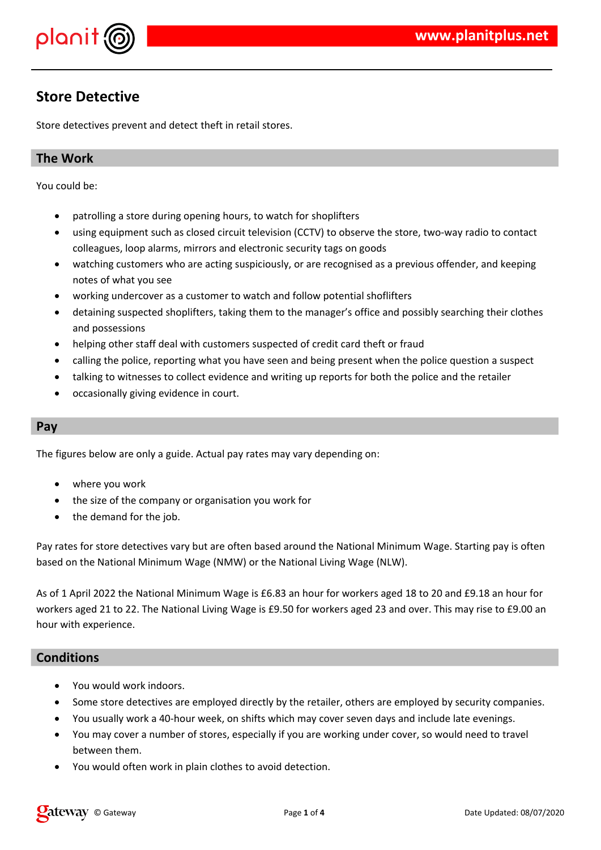

# **Store Detective**

Store detectives prevent and detect theft in retail stores.

### **The Work**

You could be:

- patrolling a store during opening hours, to watch for shoplifters
- using equipment such as closed circuit television (CCTV) to observe the store, two-way radio to contact colleagues, loop alarms, mirrors and electronic security tags on goods
- watching customers who are acting suspiciously, or are recognised as a previous offender, and keeping notes of what you see
- working undercover as a customer to watch and follow potential shoflifters
- detaining suspected shoplifters, taking them to the manager's office and possibly searching their clothes and possessions
- helping other staff deal with customers suspected of credit card theft or fraud
- calling the police, reporting what you have seen and being present when the police question a suspect
- talking to witnesses to collect evidence and writing up reports for both the police and the retailer
- occasionally giving evidence in court.

#### **Pay**

The figures below are only a guide. Actual pay rates may vary depending on:

- where you work
- the size of the company or organisation you work for
- the demand for the job.

Pay rates for store detectives vary but are often based around the National Minimum Wage. Starting pay is often based on the National Minimum Wage (NMW) or the National Living Wage (NLW).

As of 1 April 2022 the National Minimum Wage is £6.83 an hour for workers aged 18 to 20 and £9.18 an hour for workers aged 21 to 22. The National Living Wage is £9.50 for workers aged 23 and over. This may rise to £9.00 an hour with experience.

#### **Conditions**

- You would work indoors.
- Some store detectives are employed directly by the retailer, others are employed by security companies.
- You usually work a 40-hour week, on shifts which may cover seven days and include late evenings.
- You may cover a number of stores, especially if you are working under cover, so would need to travel between them.
- You would often work in plain clothes to avoid detection.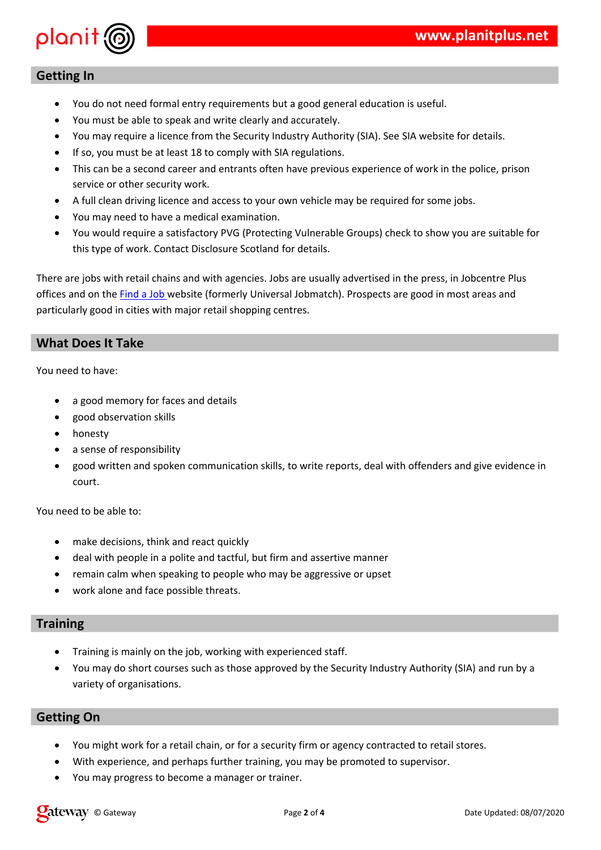#### $\frac{1}{1\%1}$  " % \$! % "!<br> $\frac{1}{1\%1}$  " ,  $\sim$  1  $\sim$  1  $\sim$  1  $\overline{\phantom{a}}$  $\frac{1}{2}$  =  $\frac{1}{2}$  .  $\frac{1}{2}$  =  $\frac{1}{2}$   $\frac{1}{2}$  =  $\frac{1}{2}$   $\frac{1}{2}$  =  $\frac{1}{2}$  +  $\frac{1}{2}$  $\frac{1}{6}$  % \$!  $\%$  $=$  # % !!  $\frac{1}{2}$  5 % = . !  $\begin{pmatrix} 1 & 1 \\ 1 & 1 \end{pmatrix}$  $\mathbf{1}$  ;  $\overline{\phantom{a}}$  $\sim 10^{-11}$  $\overline{\phantom{a}}$  $\frac{1}{2}$  % \$!  $\mathcal{L} \subset \mathcal{L}$  .  $\frac{0}{0}$  $0$  "

 $\%$  $\frac{1}{6}$  %  $\frac{1}{2}$ , %  $( ) 8$  )! " ! \*  $1 \leq 1 \leq \ell$  $\sqrt{1}$  $\mathbf{u}$  $$!$  $\sim 1$  $\frac{1}{2}$  ,  $\frac{1}{2}$  $\mathbf{I}$ 

 $\overline{0}$  "  $\overline{(\ }$  $\blacksquare$  $>$  "!!  $#$  $\geq$  $>$  "%  $\star$  $\overline{\mathcal{A}}$  $\frac{2}{1}$  $\frac{1}{2}$  $\frac{9}{6}$  $\sim 10^{-11}$  $% 0$ 

# $\mathbf{I}$

% %  $\mathbf{u}^{\dagger}$  $\mathbf{r}$  $, %96$ !  $\frac{1}{2}$   $\frac{1}{2}$   $\frac{1}{2}$   $\frac{1}{2}$   $\frac{1}{2}$   $\frac{1}{2}$   $\frac{1}{2}$   $\frac{1}{2}$   $\frac{1}{2}$   $\frac{1}{2}$   $\frac{1}{2}$   $\frac{1}{2}$   $\frac{1}{2}$   $\frac{1}{2}$   $\frac{1}{2}$   $\frac{1}{2}$   $\frac{1}{2}$   $\frac{1}{2}$   $\frac{1}{2}$   $\frac{1}{2}$   $\frac{1}{2}$   $\frac{1}{2}$   $\mathbf{I}$ 

#### $\mathbf{u} = \mathbf{u} \cdot \mathbf{u}$  . The set of  $\mathbf{u}$  $\mathbf{I}$

#,  $\$!$ ,  $\$ !  $\#$  %  $\%$  ,  $\%$  $\%$  $\frac{1}{2}$  $\%$  "  $\mathbf{I}$  $\overline{\phantom{a}}$ 

#### $\frac{1}{2}$  $\begin{array}{cccc} 0 & \text{``#} & , & \\ & \text{!} & & \\ & & \text{!} & & \end{array}$  $\sqrt{2}$  $%$  $\frac{1}{2}$  %

 $\frac{1}{2}$  =  $\frac{1}{2}$   $\frac{1}{2}$   $\frac{1}{2}$   $\frac{1}{2}$   $\frac{1}{2}$   $\frac{1}{2}$   $\frac{1}{2}$   $\frac{1}{2}$   $\frac{1}{2}$   $\frac{1}{2}$   $\frac{1}{2}$   $\frac{1}{2}$   $\frac{1}{2}$   $\frac{1}{2}$   $\frac{1}{2}$   $\frac{1}{2}$   $\frac{1}{2}$   $\frac{1}{2}$   $\frac{1}{2}$   $\frac{1}{2}$   $\frac{1}{2}$ 

 $\begin{array}{cc} , & \\ & \# \end{array}$  $\frac{1}{6}$  %  $#$  ! %

 $\frac{1}{2}$  # % " % !  $3$  ;  $\frac{d\mathbf{r}}{dt}$ 

 $\frac{1}{2}$  %  $%$  %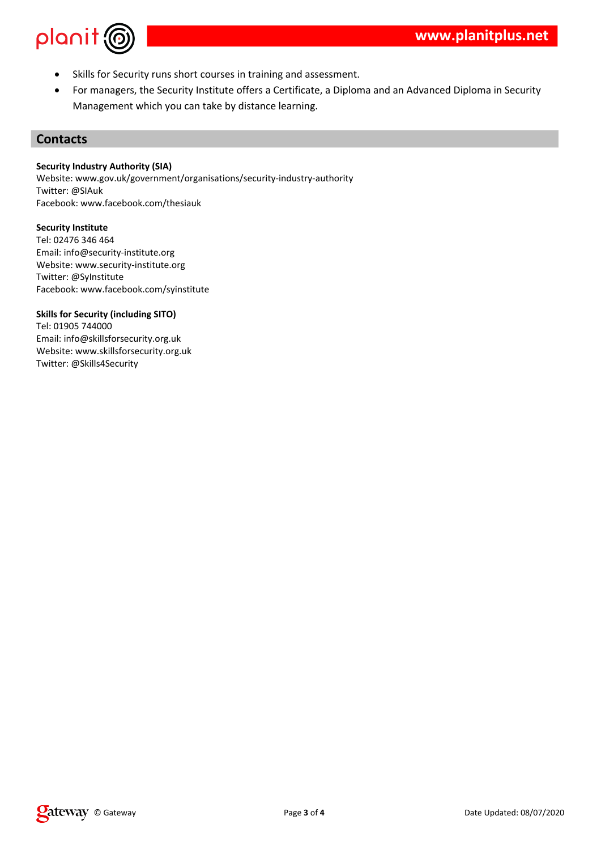

- Skills for Security runs short courses in training and assessment.
- For managers, the Security Institute offers a Certificate, a Diploma and an Advanced Diploma in Security Management which you can take by distance learning.

#### **Contacts**

#### **Security Industry Authority (SIA)**

Website: www.gov.uk/government/organisations/security-industry-authority Twitter: @SIAuk Facebook: www.facebook.com/thesiauk

#### **Security Institute**

Tel: 02476 346 464 Email: info@security-institute.org Website: www.security-institute.org Twitter: @SyInstitute Facebook: www.facebook.com/syinstitute

#### **Skills for Security (including SITO)**

Tel: 01905 744000 Email: info@skillsforsecurity.org.uk Website: www.skillsforsecurity.org.uk Twitter: @Skills4Security